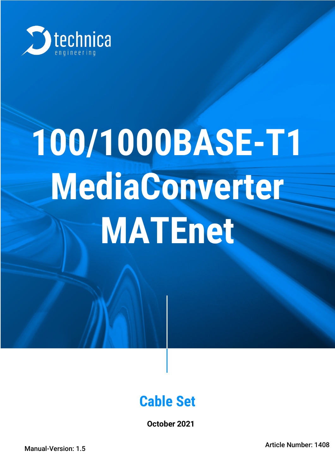

# **100/1000BASE-T1 MediaConverter MATEnet**

## **Cable Set**

**October 2021**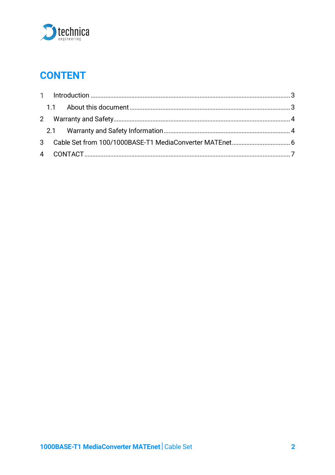

## **CONTENT**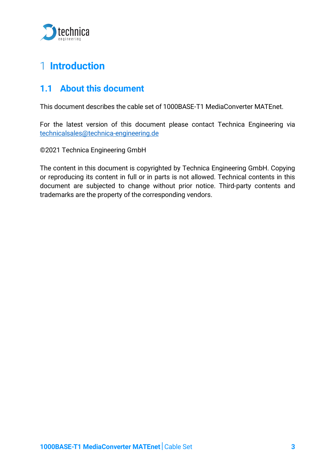

## <span id="page-2-0"></span>**Introduction**

#### <span id="page-2-1"></span>**1.1 About this document**

This document describes the cable set of 1000BASE-T1 MediaConverter MATEnet.

For the latest version of this document please contact Technica Engineering via technicalsales@technica-engineering.de

©2021 Technica Engineering GmbH

The content in this document is copyrighted by Technica Engineering GmbH. Copying or reproducing its content in full or in parts is not allowed. Technical contents in this document are subjected to change without prior notice. Third-party contents and trademarks are the property of the corresponding vendors.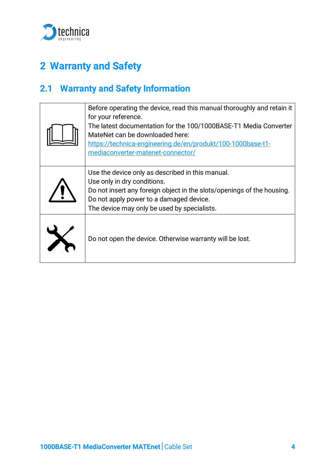

## <span id="page-3-0"></span>**2 Warranty and Safety**

#### <span id="page-3-1"></span>**2.1 Warranty and Safety Information**

| Before operating the device, read this manual thoroughly and retain it<br>for your reference.<br>The latest documentation for the 100/1000BASE-T1 Media Converter<br>MateNet can be downloaded here:<br>https://technica-engineering.de/en/produkt/100-1000base-t1-<br>mediaconverter-matenet-connector/ |
|----------------------------------------------------------------------------------------------------------------------------------------------------------------------------------------------------------------------------------------------------------------------------------------------------------|
| Use the device only as described in this manual.<br>Use only in dry conditions.<br>Do not insert any foreign object in the slots/openings of the housing.<br>Do not apply power to a damaged device.<br>The device may only be used by specialists.                                                      |
| Do not open the device. Otherwise warranty will be lost.                                                                                                                                                                                                                                                 |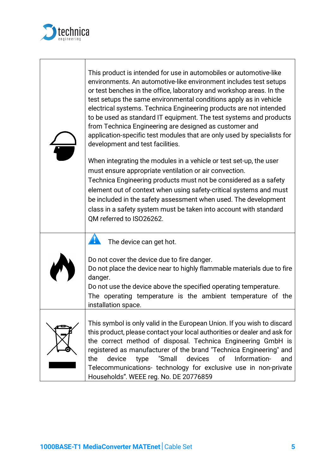

Τ

| This product is intended for use in automobiles or automotive-like<br>environments. An automotive-like environment includes test setups<br>or test benches in the office, laboratory and workshop areas. In the<br>test setups the same environmental conditions apply as in vehicle<br>electrical systems. Technica Engineering products are not intended<br>to be used as standard IT equipment. The test systems and products<br>from Technica Engineering are designed as customer and<br>application-specific test modules that are only used by specialists for<br>development and test facilities.<br>When integrating the modules in a vehicle or test set-up, the user<br>must ensure appropriate ventilation or air convection.<br>Technica Engineering products must not be considered as a safety<br>element out of context when using safety-critical systems and must<br>be included in the safety assessment when used. The development<br>class in a safety system must be taken into account with standard<br>QM referred to ISO26262. |
|---------------------------------------------------------------------------------------------------------------------------------------------------------------------------------------------------------------------------------------------------------------------------------------------------------------------------------------------------------------------------------------------------------------------------------------------------------------------------------------------------------------------------------------------------------------------------------------------------------------------------------------------------------------------------------------------------------------------------------------------------------------------------------------------------------------------------------------------------------------------------------------------------------------------------------------------------------------------------------------------------------------------------------------------------------|
| $\mathbf{T}$<br>The device can get hot.<br>Do not cover the device due to fire danger.<br>Do not place the device near to highly flammable materials due to fire<br>danger.<br>Do not use the device above the specified operating temperature.<br>The operating temperature is the ambient temperature of the<br>installation space.                                                                                                                                                                                                                                                                                                                                                                                                                                                                                                                                                                                                                                                                                                                   |
| This symbol is only valid in the European Union. If you wish to discard<br>this product, please contact your local authorities or dealer and ask for<br>the correct method of disposal. Technica Engineering GmbH is<br>registered as manufacturer of the brand "Technica Engineering" and<br>"Small<br>Information-<br>device<br>devices<br>οf<br>the<br>type<br>and<br>Telecommunications- technology for exclusive use in non-private<br>Households". WEEE reg. No. DE 20776859                                                                                                                                                                                                                                                                                                                                                                                                                                                                                                                                                                      |

٦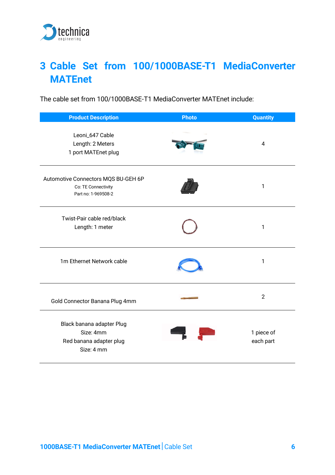

## <span id="page-5-0"></span>**3 Cable Set from 100/1000BASE-T1 MediaConverter MATEnet**

The cable set from 100/1000BASE-T1 MediaConverter MATEnet include:

| <b>Product Description</b>                                                        | <b>Photo</b> | <b>Quantity</b>         |
|-----------------------------------------------------------------------------------|--------------|-------------------------|
| Leoni_647 Cable<br>Length: 2 Meters<br>1 port MATEnet plug                        |              | $\overline{4}$          |
| Automotive Connectors MQS BU-GEH 6P<br>Co: TE Connectivity<br>Part no: 1-969508-2 |              | 1                       |
| Twist-Pair cable red/black<br>Length: 1 meter                                     |              | 1                       |
| 1m Ethernet Network cable                                                         |              | 1                       |
| Gold Connector Banana Plug 4mm                                                    |              | $\overline{2}$          |
| Black banana adapter Plug<br>Size: 4mm<br>Red banana adapter plug<br>Size: 4 mm   |              | 1 piece of<br>each part |